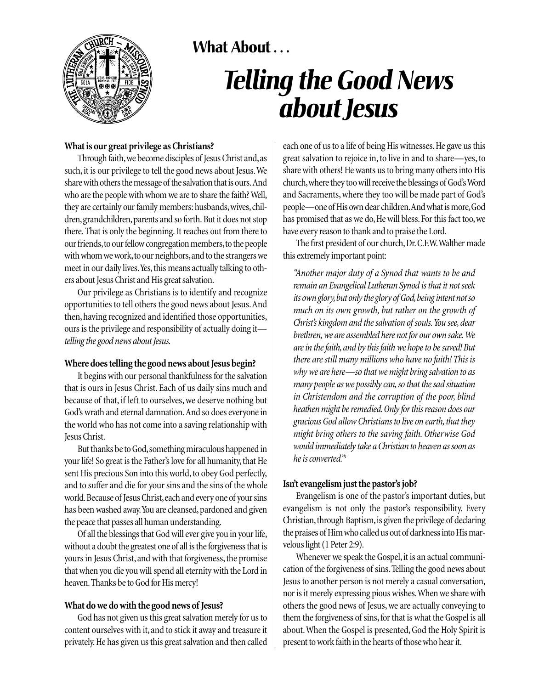

## **What About . . .**

# *Telling the Good News about Jesus*

#### **What is our great privilege as Christians?**

Through faith,we become disciples of Jesus Christ and,as such, it is our privilege to tell the good news about Jesus.We share with others the message of the salvation that is ours.And who are the people with whom we are to share the faith? Well, they are certainly our family members: husbands, wives, children, grandchildren, parents and so forth. But it does not stop there.That is only the beginning. It reaches out from there to our friends, to our fellow congregation members, to the people with whom we work, to our neighbors, and to the strangers we meet in our daily lives. Yes, this means actually talking to others about Jesus Christ and His great salvation.

Our privilege as Christians is to identify and recognize opportunities to tell others the good news about Jesus.And then, having recognized and identified those opportunities, ours is the privilege and responsibility of actually doing it *telling the good news about Jesus.*

#### **Where does telling the good news about Jesus begin?**

It begins with our personal thankfulness for the salvation that is ours in Jesus Christ. Each of us daily sins much and because of that, if left to ourselves, we deserve nothing but God's wrath and eternal damnation. And so does everyone in the world who has not come into a saving relationship with Jesus Christ.

But thanks be to God,something miraculous happened in your life! So great is the Father's love for all humanity, that He sent His precious Son into this world, to obey God perfectly, and to suffer and die for your sins and the sins of the whole world. Because of Jesus Christ, each and every one of your sins has been washed away. You are cleansed, pardoned and given the peace that passes all human understanding.

Of all the blessings that God will ever give you in your life, without a doubt the greatest one of all is the forgiveness that is yours in Jesus Christ, and with that forgiveness, the promise that when you die you will spend all eternity with the Lord in heaven.Thanks be to God for His mercy!

#### **What do we do with the good news of Jesus?**

God has not given us this great salvation merely for us to content ourselves with it, and to stick it away and treasure it privately.He has given us this great salvation and then called each one of us to a life of being His witnesses.He gave us this great salvation to rejoice in, to live in and to share—yes, to share with others! He wants us to bring many others into His church,where they too will receive the blessings of God's Word and Sacraments, where they too will be made part of God's people—one of His own dear children.And what is more,God has promised that as we do, He will bless. For this fact too, we have every reason to thank and to praise the Lord.

The first president of our church,Dr.C.F.W.Walther made this extremely important point:

*"Another major duty of a Synod that wants to be and remain an Evangelical Lutheran Synod is that it not seek its own glory,but only the glory of God,being intent not so much on its own growth, but rather on the growth of Christ's kingdom and the salvation of souls.You see, dear brethren,we are assembled here not for our own sake.We are in the faith, and by this faith we hope to be saved! But there are still many millions who have no faith! This is why we are here—so that we might bring salvation to as many people as we possibly can, so that the sad situation in Christendom and the corruption of the poor, blind heathen might be remedied.Only for this reason does our gracious God allow Christians to live on earth, that they might bring others to the saving faith. Otherwise God would immediately take a Christian to heaven as soon as he is converted."1*

### **Isn't evangelism just the pastor's job?**

Evangelism is one of the pastor's important duties, but evangelism is not only the pastor's responsibility. Every Christian, through Baptism, is given the privilege of declaring the praises of Him who called us out of darkness into His marvelous light (1 Peter 2:9).

Whenever we speak the Gospel, it is an actual communication of the forgiveness of sins.Telling the good news about Jesus to another person is not merely a casual conversation, nor is it merely expressing pious wishes.When we share with others the good news of Jesus, we are actually conveying to them the forgiveness of sins, for that is what the Gospel is all about.When the Gospel is presented, God the Holy Spirit is present to work faith in the hearts of those who hear it.